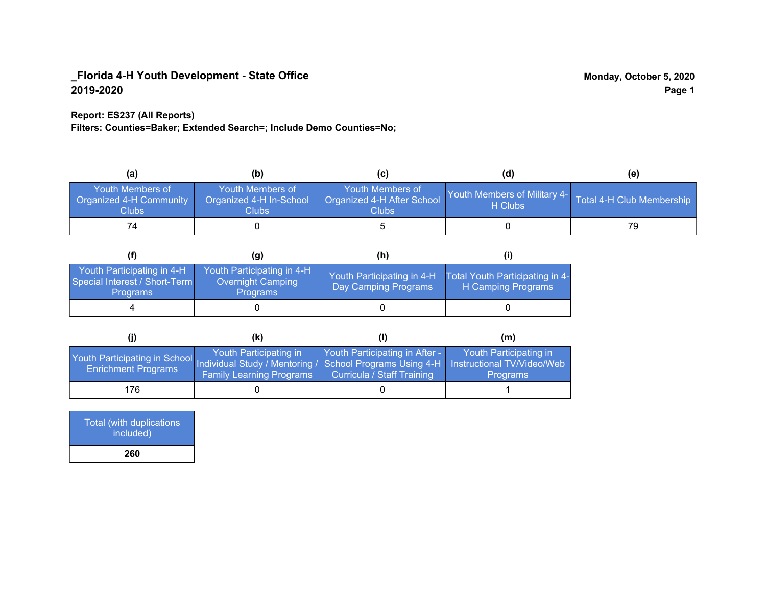## **Report: ES237 (All Reports)**

**Filters: Counties=Baker; Extended Search=; Include Demo Counties=No;**

| (a)                                                                | (b)                                                   | (C)                                                       | (d)                                                               | (e) |
|--------------------------------------------------------------------|-------------------------------------------------------|-----------------------------------------------------------|-------------------------------------------------------------------|-----|
| <b>Youth Members of</b><br><b>Organized 4-H Community</b><br>Clubs | Youth Members of<br>Organized 4-H In-School<br>Clubs: | Youth Members of<br>Organized 4-H After School<br>Clubs : | Youth Members of Military 4- Total 4-H Club Membership<br>H Clubs |     |
| 74                                                                 |                                                       |                                                           |                                                                   | 79  |

|                                                                                | (g)                                                                | (h)                                                |                                                       |
|--------------------------------------------------------------------------------|--------------------------------------------------------------------|----------------------------------------------------|-------------------------------------------------------|
| Youth Participating in 4-H<br>Special Interest / Short-Term<br><b>Programs</b> | Youth Participating in 4-H<br>Overnight Camping<br><b>Programs</b> | Youth Participating in 4-H<br>Day Camping Programs | Total Youth Participating in 4-<br>H Camping Programs |
|                                                                                |                                                                    |                                                    |                                                       |

|                                                                                                                                                 | (k)                                                       |                                                              | (m)                                       |
|-------------------------------------------------------------------------------------------------------------------------------------------------|-----------------------------------------------------------|--------------------------------------------------------------|-------------------------------------------|
| Youth Participating in School Individual Study / Mentoring / School Programs Using 4-H Instructional TV/Video/Web<br><b>Enrichment Programs</b> | Youth Participating in<br><b>Family Learning Programs</b> | Youth Participating in After -<br>Curricula / Staff Training | Youth Participating in<br><b>Programs</b> |
| 176.                                                                                                                                            |                                                           |                                                              |                                           |

| <b>Total (with duplications)</b><br>included) |  |
|-----------------------------------------------|--|
| 260                                           |  |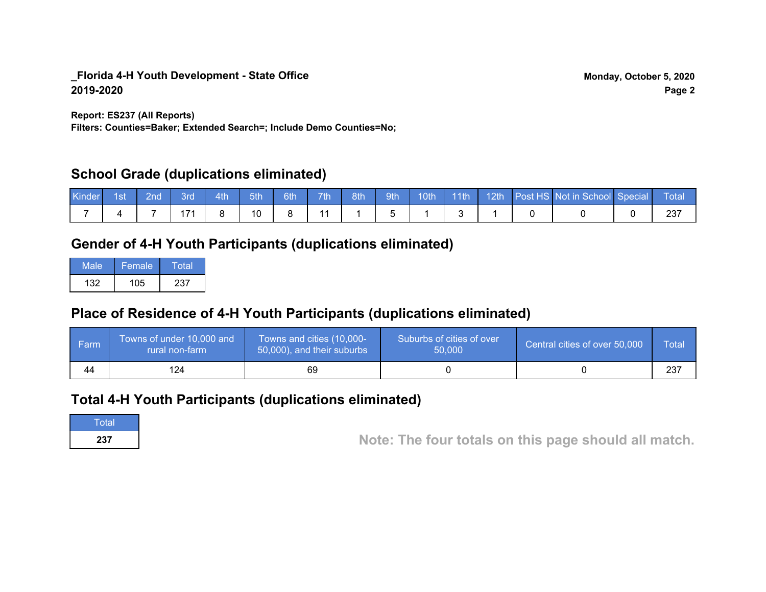**Report: ES237 (All Reports)**

**Filters: Counties=Baker; Extended Search=; Include Demo Counties=No;**

# **School Grade (duplications eliminated)**

| <b>Kinder</b> | ⊟ 1st | $\blacksquare$ 2nd $\blacksquare$ | 3rd | $-4th$ | $-5th$ | 6th | 7th | 8th | $\parallel$ 9th |  |  | 10th 11th 12th Post HS Not in School Special Total |  |
|---------------|-------|-----------------------------------|-----|--------|--------|-----|-----|-----|-----------------|--|--|----------------------------------------------------|--|
|               |       |                                   |     |        | 10     |     |     |     |                 |  |  |                                                    |  |

# **Gender of 4-H Youth Participants (duplications eliminated)**

| Male | Female | Total |
|------|--------|-------|
| 132  | 105    | 237   |

# **Place of Residence of 4-H Youth Participants (duplications eliminated)**

| l Farm | Towns of under 10,000 and<br>rural non-farm | Towns and cities (10,000-<br>50,000), and their suburbs | Suburbs of cities of over<br>50,000 | Central cities of over 50,000 | Total |
|--------|---------------------------------------------|---------------------------------------------------------|-------------------------------------|-------------------------------|-------|
| 44     | 124                                         | 69                                                      |                                     |                               | 237   |

# **Total 4-H Youth Participants (duplications eliminated)**

**Total** 

**<sup>237</sup> Note: The four totals on this page should all match.**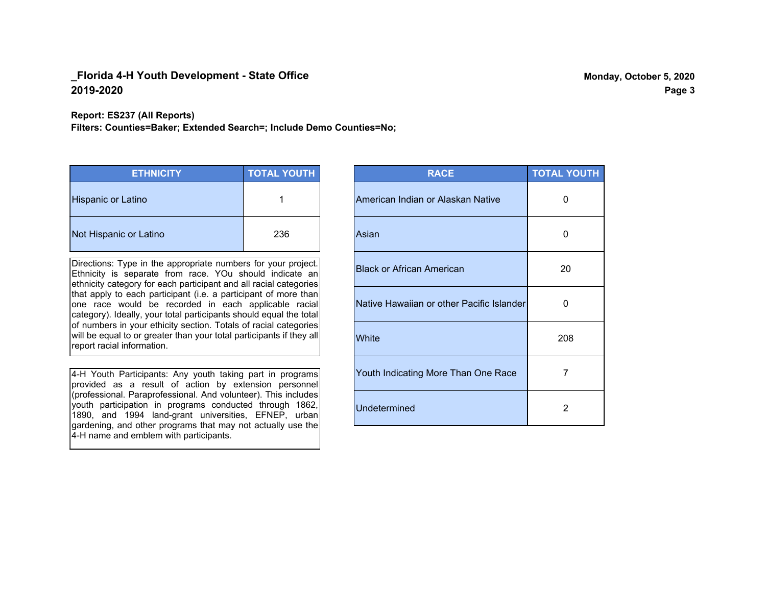**Report: ES237 (All Reports)**

**Filters: Counties=Baker; Extended Search=; Include Demo Counties=No;**

| <b>ETHNICITY</b>       | <b>TOTAL YOUTH</b> |
|------------------------|--------------------|
| Hispanic or Latino     |                    |
| Not Hispanic or Latino | 236                |

Directions: Type in the appropriate numbers for your project. Ethnicity is separate from race. YOu should indicate an ethnicity category for each participant and all racial categories that apply to each participant (i.e. a participant of more than one race would be recorded in each applicable racial category). Ideally, your total participants should equal the total of numbers in your ethicity section. Totals of racial categories will be equal to or greater than your total participants if they all report racial information.

4-H Youth Participants: Any youth taking part in programs provided as a result of action by extension personnel (professional. Paraprofessional. And volunteer). This includes youth participation in programs conducted through 1862, 1890, and 1994 land-grant universities, EFNEP, urban gardening, and other programs that may not actually use the 4-H name and emblem with participants.

| <b>RACE</b>                               | <b>TOTAL YOUTH</b> |
|-------------------------------------------|--------------------|
| American Indian or Alaskan Native         | O                  |
| Asian                                     | 0                  |
| Black or African American                 | 20                 |
| Native Hawaiian or other Pacific Islander | 0                  |
| White                                     | 208                |
| Youth Indicating More Than One Race       | 7                  |
| <b>Undetermined</b>                       | 2                  |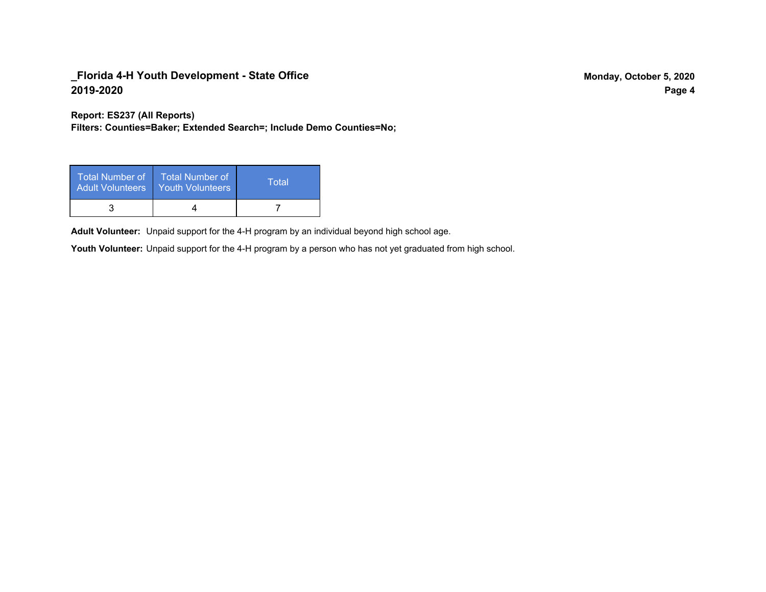**Report: ES237 (All Reports)**

**Filters: Counties=Baker; Extended Search=; Include Demo Counties=No;**

| Total Number of<br><b>Adult Volunteers</b> | <b>Total Number of</b><br>Youth Volunteers | Total |
|--------------------------------------------|--------------------------------------------|-------|
|                                            |                                            |       |

Adult Volunteer: Unpaid support for the 4-H program by an individual beyond high school age.

Youth Volunteer: Unpaid support for the 4-H program by a person who has not yet graduated from high school.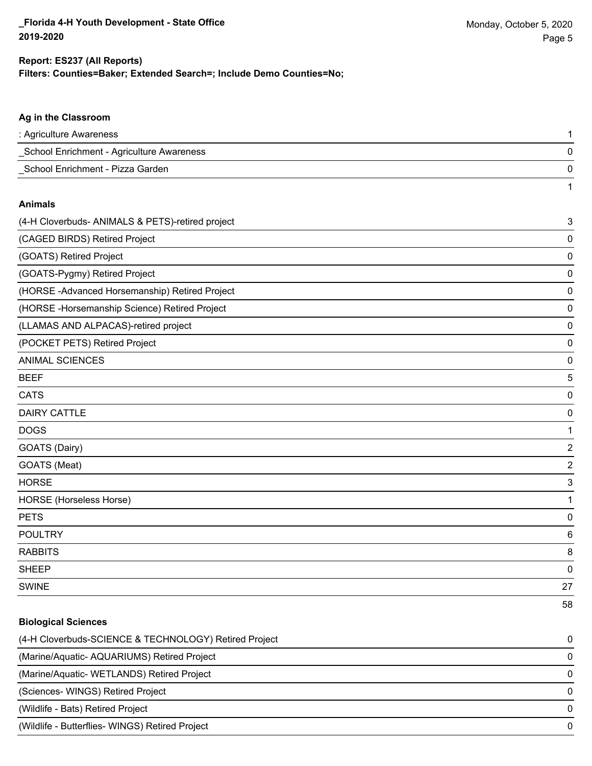1

#### **Ag in the Classroom**

| : Agriculture Awareness                   |  |
|-------------------------------------------|--|
| School Enrichment - Agriculture Awareness |  |
| School Enrichment - Pizza Garden          |  |

#### **Animals**

| (4-H Cloverbuds- ANIMALS & PETS)-retired project | 3           |
|--------------------------------------------------|-------------|
| (CAGED BIRDS) Retired Project                    | 0           |
| (GOATS) Retired Project                          | 0           |
| (GOATS-Pygmy) Retired Project                    | 0           |
| (HORSE -Advanced Horsemanship) Retired Project   | 0           |
| (HORSE - Horsemanship Science) Retired Project   | 0           |
| (LLAMAS AND ALPACAS)-retired project             | 0           |
| (POCKET PETS) Retired Project                    | 0           |
| <b>ANIMAL SCIENCES</b>                           | 0           |
| <b>BEEF</b>                                      | 5           |
| <b>CATS</b>                                      | 0           |
| <b>DAIRY CATTLE</b>                              | 0           |
| <b>DOGS</b>                                      |             |
| GOATS (Dairy)                                    | 2           |
| GOATS (Meat)                                     | $\mathbf 2$ |
| <b>HORSE</b>                                     | 3           |
| HORSE (Horseless Horse)                          |             |
| <b>PETS</b>                                      | 0           |
| <b>POULTRY</b>                                   | 6           |
| <b>RABBITS</b>                                   | 8           |
| <b>SHEEP</b>                                     | 0           |
| <b>SWINE</b>                                     | 27          |
|                                                  | 58          |

### **Biological Sciences**

| (4-H Cloverbuds-SCIENCE & TECHNOLOGY) Retired Project | $\Omega$ |
|-------------------------------------------------------|----------|
| (Marine/Aquatic-AQUARIUMS) Retired Project            | $\Omega$ |
| (Marine/Aquatic-WETLANDS) Retired Project             | $\Omega$ |
| (Sciences-WINGS) Retired Project                      | $\Omega$ |
| (Wildlife - Bats) Retired Project                     | $\Omega$ |
| (Wildlife - Butterflies- WINGS) Retired Project       | $\Omega$ |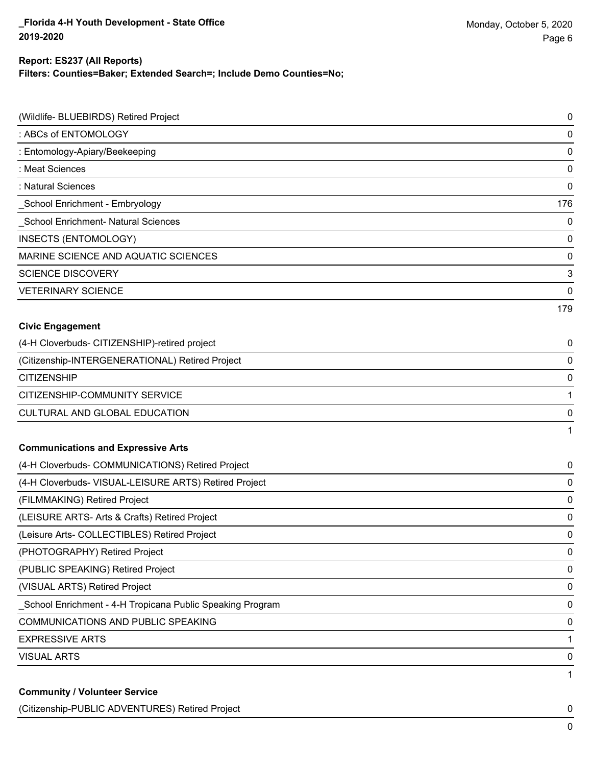## **Report: ES237 (All Reports)**

**Filters: Counties=Baker; Extended Search=; Include Demo Counties=No;**

| (Wildlife- BLUEBIRDS) Retired Project                     | 0   |
|-----------------------------------------------------------|-----|
| : ABCs of ENTOMOLOGY                                      | 0   |
| : Entomology-Apiary/Beekeeping                            | 0   |
| : Meat Sciences                                           | 0   |
| : Natural Sciences                                        | 0   |
| School Enrichment - Embryology                            | 176 |
| School Enrichment- Natural Sciences                       | 0   |
| INSECTS (ENTOMOLOGY)                                      | 0   |
| MARINE SCIENCE AND AQUATIC SCIENCES                       | 0   |
| <b>SCIENCE DISCOVERY</b>                                  | 3   |
| <b>VETERINARY SCIENCE</b>                                 | 0   |
|                                                           | 179 |
| <b>Civic Engagement</b>                                   |     |
| (4-H Cloverbuds- CITIZENSHIP)-retired project             | 0   |
| (Citizenship-INTERGENERATIONAL) Retired Project           | 0   |
| <b>CITIZENSHIP</b>                                        | 0   |
| CITIZENSHIP-COMMUNITY SERVICE                             | 1   |
| CULTURAL AND GLOBAL EDUCATION                             | 0   |
|                                                           | 1   |
| <b>Communications and Expressive Arts</b>                 |     |
| (4-H Cloverbuds- COMMUNICATIONS) Retired Project          | 0   |
| (4-H Cloverbuds- VISUAL-LEISURE ARTS) Retired Project     | 0   |
| (FILMMAKING) Retired Project                              | 0   |
| (LEISURE ARTS- Arts & Crafts) Retired Project             | 0   |
| (Leisure Arts- COLLECTIBLES) Retired Project              | 0   |
| (PHOTOGRAPHY) Retired Project                             | 0   |
| (PUBLIC SPEAKING) Retired Project                         | 0   |
| (VISUAL ARTS) Retired Project                             | 0   |
| School Enrichment - 4-H Tropicana Public Speaking Program | 0   |
| <b>COMMUNICATIONS AND PUBLIC SPEAKING</b>                 | 0   |
| <b>EXPRESSIVE ARTS</b>                                    | 1   |
| <b>VISUAL ARTS</b>                                        | 0   |
|                                                           | 1   |
| <b>Community / Volunteer Service</b>                      |     |

(Citizenship-PUBLIC ADVENTURES) Retired Project 0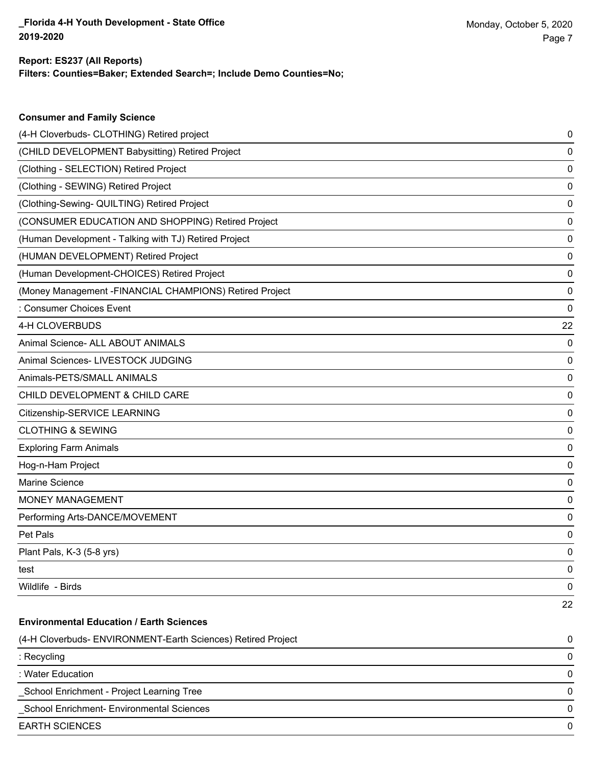**Consumer and Family Science**

## **Filters: Counties=Baker; Extended Search=; Include Demo Counties=No; Report: ES237 (All Reports)**

| (4-H Cloverbuds- CLOTHING) Retired project                   | 0  |
|--------------------------------------------------------------|----|
| (CHILD DEVELOPMENT Babysitting) Retired Project              | 0  |
| (Clothing - SELECTION) Retired Project                       | 0  |
| (Clothing - SEWING) Retired Project                          | 0  |
| (Clothing-Sewing- QUILTING) Retired Project                  | 0  |
| (CONSUMER EDUCATION AND SHOPPING) Retired Project            | 0  |
| (Human Development - Talking with TJ) Retired Project        | 0  |
| (HUMAN DEVELOPMENT) Retired Project                          | 0  |
| (Human Development-CHOICES) Retired Project                  | 0  |
| (Money Management -FINANCIAL CHAMPIONS) Retired Project      | 0  |
| : Consumer Choices Event                                     | 0  |
| 4-H CLOVERBUDS                                               | 22 |
| Animal Science- ALL ABOUT ANIMALS                            | 0  |
| Animal Sciences- LIVESTOCK JUDGING                           | 0  |
| Animals-PETS/SMALL ANIMALS                                   | 0  |
| CHILD DEVELOPMENT & CHILD CARE                               | 0  |
| Citizenship-SERVICE LEARNING                                 | 0  |
| <b>CLOTHING &amp; SEWING</b>                                 | 0  |
| <b>Exploring Farm Animals</b>                                | 0  |
| Hog-n-Ham Project                                            | 0  |
| Marine Science                                               | 0  |
| MONEY MANAGEMENT                                             | 0  |
| Performing Arts-DANCE/MOVEMENT                               | 0  |
| Pet Pals                                                     | 0  |
| Plant Pals, K-3 (5-8 yrs)                                    | 0  |
| test                                                         | 0  |
| Wildlife - Birds                                             | 0  |
|                                                              | 22 |
| <b>Environmental Education / Earth Sciences</b>              |    |
| (4-H Cloverbuds- ENVIRONMENT-Earth Sciences) Retired Project | 0  |
| : Recycling                                                  | 0  |
| : Water Education                                            | 0  |
| School Enrichment - Project Learning Tree                    | 0  |
| School Enrichment- Environmental Sciences                    | 0  |
| <b>EARTH SCIENCES</b>                                        | 0  |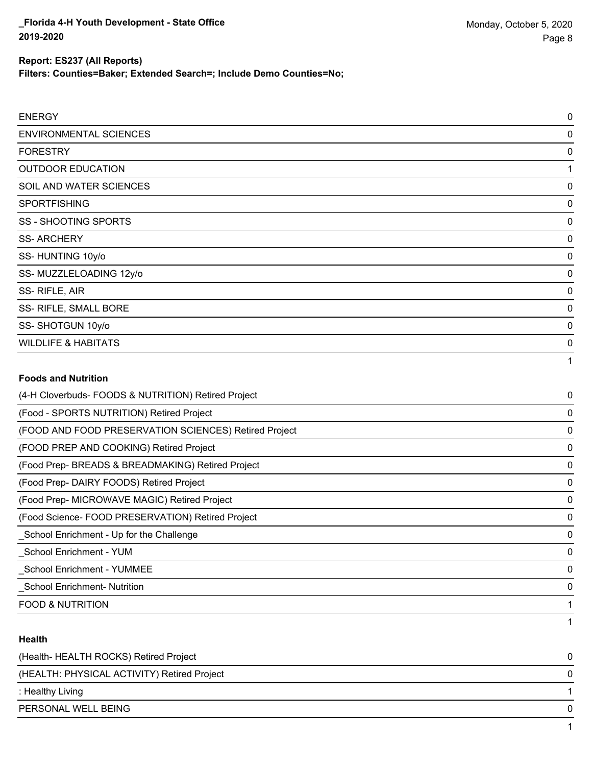**Filters: Counties=Baker; Extended Search=; Include Demo Counties=No;**

| <b>ENERGY</b>                                         | $\mathbf 0$ |
|-------------------------------------------------------|-------------|
| <b>ENVIRONMENTAL SCIENCES</b>                         | $\Omega$    |
| <b>FORESTRY</b>                                       | 0           |
| <b>OUTDOOR EDUCATION</b>                              | 1           |
| SOIL AND WATER SCIENCES                               | 0           |
| <b>SPORTFISHING</b>                                   | $\Omega$    |
| <b>SS - SHOOTING SPORTS</b>                           | 0           |
| <b>SS-ARCHERY</b>                                     | 0           |
| SS-HUNTING 10y/o                                      | 0           |
| SS-MUZZLELOADING 12y/o                                | 0           |
| SS-RIFLE, AIR                                         | 0           |
| SS- RIFLE, SMALL BORE                                 | $\Omega$    |
| SS-SHOTGUN 10y/o                                      | $\Omega$    |
| <b>WILDLIFE &amp; HABITATS</b>                        | 0           |
|                                                       | 1           |
| <b>Foods and Nutrition</b>                            |             |
| (4-H Cloverbuds- FOODS & NUTRITION) Retired Project   | 0           |
| (Food - SPORTS NUTRITION) Retired Project             | $\Omega$    |
| (FOOD AND FOOD PRESERVATION SCIENCES) Retired Project | 0           |
| (FOOD PREP AND COOKING) Retired Project               | 0           |
| (Food Prep- BREADS & BREADMAKING) Retired Project     | 0           |

(Food Prep- DAIRY FOODS) Retired Project 0

(Food Prep- MICROWAVE MAGIC) Retired Project 0

(Food Science- FOOD PRESERVATION) Retired Project 0

\_School Enrichment - Up for the Challenge 0 \_School Enrichment - YUM 0 \_School Enrichment - YUMMEE 0 \_School Enrichment- Nutrition 0 FOOD & NUTRITION 1

#### **Health**

| (Health-HEALTH ROCKS) Retired Project       |  |
|---------------------------------------------|--|
| (HEALTH: PHYSICAL ACTIVITY) Retired Project |  |
| : Healthy Living                            |  |
| PERSONAL WELL BEING                         |  |
|                                             |  |

1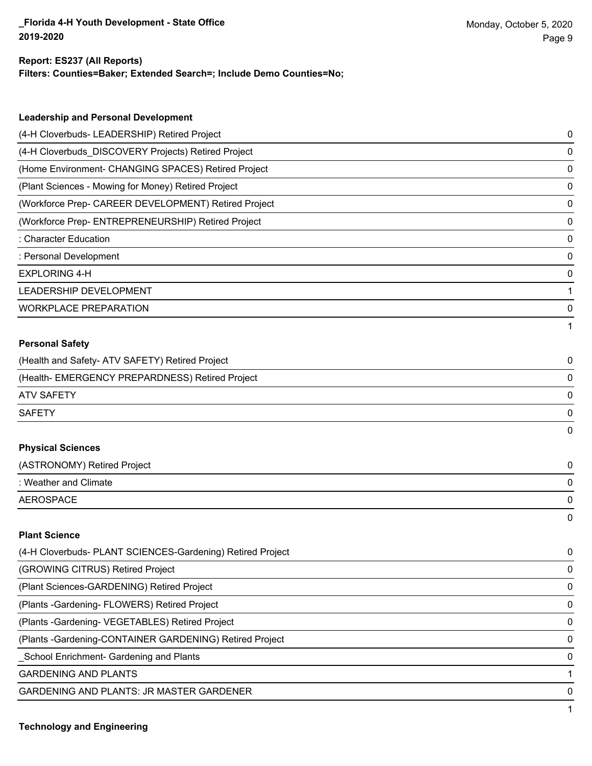#### **Report: ES237 (All Reports)**

**Filters: Counties=Baker; Extended Search=; Include Demo Counties=No;**

| <b>Leadership and Personal Development</b>                 |   |
|------------------------------------------------------------|---|
| (4-H Cloverbuds- LEADERSHIP) Retired Project               | 0 |
| (4-H Cloverbuds_DISCOVERY Projects) Retired Project        | 0 |
| (Home Environment- CHANGING SPACES) Retired Project        | 0 |
| (Plant Sciences - Mowing for Money) Retired Project        | 0 |
| (Workforce Prep- CAREER DEVELOPMENT) Retired Project       | 0 |
| (Workforce Prep- ENTREPRENEURSHIP) Retired Project         | 0 |
| : Character Education                                      | 0 |
| : Personal Development                                     | 0 |
| <b>EXPLORING 4-H</b>                                       | 0 |
| LEADERSHIP DEVELOPMENT                                     | 1 |
| <b>WORKPLACE PREPARATION</b>                               | 0 |
|                                                            | 1 |
| <b>Personal Safety</b>                                     |   |
| (Health and Safety- ATV SAFETY) Retired Project            | 0 |
| (Health- EMERGENCY PREPARDNESS) Retired Project            | 0 |
| <b>ATV SAFETY</b>                                          | 0 |
| <b>SAFETY</b>                                              | 0 |
|                                                            | 0 |
| <b>Physical Sciences</b>                                   |   |
| (ASTRONOMY) Retired Project                                | 0 |
| : Weather and Climate                                      | 0 |
| <b>AEROSPACE</b>                                           | 0 |
|                                                            | 0 |
| <b>Plant Science</b>                                       |   |
| (4-H Cloverbuds- PLANT SCIENCES-Gardening) Retired Project | 0 |
| (GROWING CITRUS) Retired Project                           | 0 |
| (Plant Sciences-GARDENING) Retired Project                 | 0 |
| (Plants - Gardening - FLOWERS) Retired Project             | 0 |

(Plants -Gardening- VEGETABLES) Retired Project 0

(Plants -Gardening-CONTAINER GARDENING) Retired Project 0

\_School Enrichment- Gardening and Plants 0

**GARDENING AND PLANTS** 1

GARDENING AND PLANTS: JR MASTER GARDENER 0